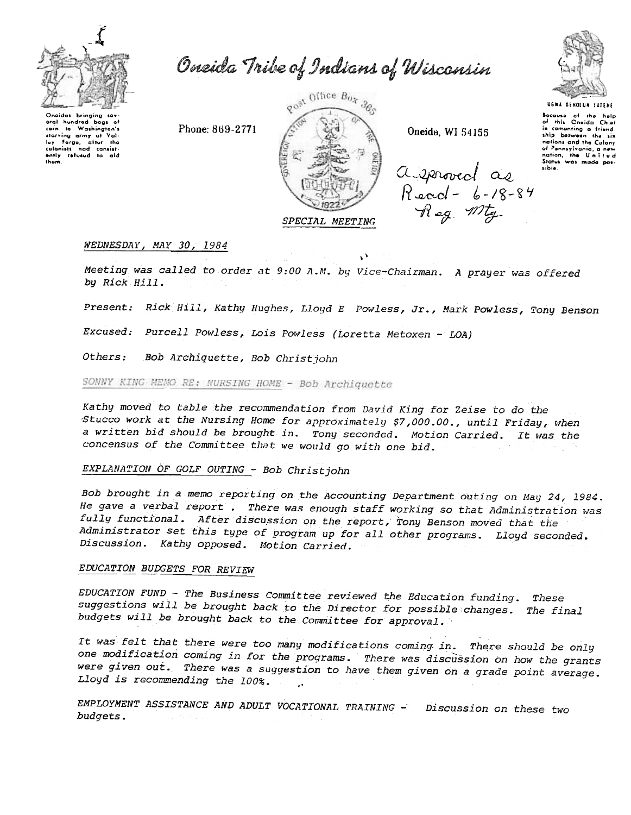

Oneida Tribe of Indians of Wisconsin

Oneidas bringing sov-<br>oral hundrod bags of<br>corn to Washington's starving army at luy Forge, after the<br>colonists had consist-<br>ently refused to aid thom

Phone: 869-2771



Oneida, WI 54155



UGWA DENOLUN TATENE Bocause of the help<br>of this Oneida Chief of this where when<br>in comenting a friend-<br>ship between the six ship betwei nations and the Calony of Pennsylvania, a new<br>nation, the United<br>Status was made possible

a sproved as Read - 6-18-84<br>Reg Mty

## WEDNESDAY, MAY 30, 1984

Meeting was called to order at 9:00 A.M. by Vice-Chairman. A prayer was offered by Rick Hill.

Present: Rick Hill, Kathy Hughes, Lloyd E Powless, Jr., Mark Powless, Tony Benson

ψÝ

Excused: Purcell Powless, Lois Powless (Loretta Metoxen - LOA)

Others: Bob Archiquette, Bob Christjohn

SONNY KING MEMO RE: NURSING HOME - Bob Archiquette

Kathy moved to table the recommendation from David King for Zeise to do the Stucco work at the Nursing Home for approximately \$7,000.00., until Friday, when a written bid should be brought in. Tony seconded. Motion Carried. It was the concensus of the Committee that we would go with one bid.

# EXPLANATION OF GOLF OUTING - Bob Christjohn

Bob brought in a memo reporting on the Accounting Department outing on May 24, 1984. He gave a verbal report . There was enough staff working so that Administration was fully functional. After discussion on the report, Tony Benson moved that the Administrator set this type of program up for all other programs. Lloyd seconded. Discussion. Kathy opposed. Motion Carried.

## EDUCATION BUDGETS FOR REVIEW

EDUCATION FUND - The Business Committee reviewed the Education funding. These suggestions will be brought back to the Director for possible changes. The final budgets will be brought back to the Committee for approval.

It was felt that there were too many modifications coming in. There should be only one modification coming in for the programs. There was discussion on how the grants were given out. There was a suggestion to have them given on a grade point average. Lloyd is recommending the 100%.

EMPLOYMENT ASSISTANCE AND ADULT VOCATIONAL TRAINING - Discussion on these two budgets.